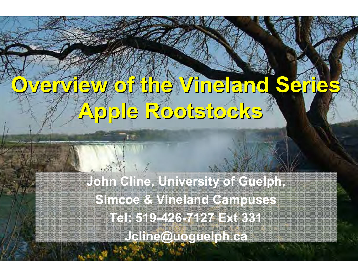# Overview of the Vineland Series Apple Rootstocks

John Cline, University of Guelph, Simcoe & Vineland CampusesTel: 519-426-7127 Ext 331Jcline@uoguelph.ca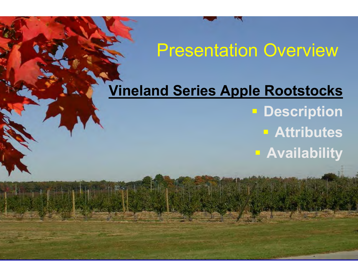### Presentation Overview

## Vineland Series Apple Rootstocks**- Description**

Orchard and Vineyard Show, Traverse City, MI – Jan 21-22, 2009

 AttributesAvailability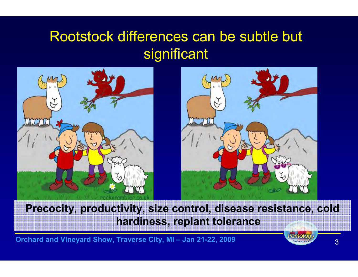### Rootstock differences can be subtle but significant





### Precocity, productivity, size control, disease resistance, cold hardiness, replant tolerance

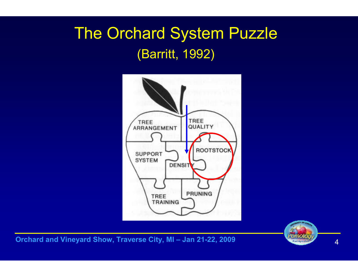### The Orchard System Puzzle(Barritt, 1992)



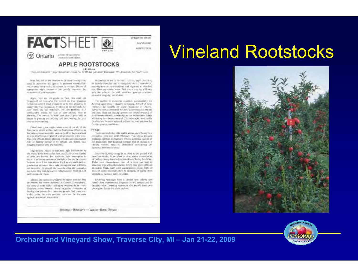

#### **APPLE ROOTSTOCKS**

6.8. When ... The William S. March 2011 (September 2012) 2012 2012 2012 2012 2013

Then land-values and digrines to all letter terming make make it importance that applies he produced estimates the and an early resurr on the procedure. he outliest. The are of servicinas apris vusavals (as greaty approval for assuming of growing appeal.

Appte teast are not provin its then over easy bits impaceed on montacy the control the tree. Deadlest mericacid comput week production in the tree, pleasing he interny test fruit profacture. By thousant the rootstacks for year nearly and suit conditions, you can possibut, in a particularly contact the state off contact when a mitterity. This intrace, of mell, carl save a great dral of ishowr 30 proming and picking, and topic wasting for your **Researcher comme.** 

Direct more grow approximate most if you all, of the from care the pitched without balabos. To improve affinitions in the picking operation and to increase yould per buction, dward to some discrime is select a formally make to available must an This type of high-library planting possides a continuous neewill all hazing instage in the terms weren't line. mhading ware of three and mannises.

High-dresty relact in maximum light intensiption bythe leaves of the trees name) than speed/leavily in the monter. all ment per horsey. For maximum agai interespires to nepts, a minimum written of moligie is lost on the ground. buseen year. It has been stored that from stay wait brial finite production internation side of the samested existent an increased in general the more dwarfing the resentation. lie bees they fast themselve miligh-dayiny phoring, with and items and discussion

Mescul'ine sustancies evaliates for apples were not bred or educated for women handmess in Canada. Environmently, the mines or attent with rold inputy accessorably in certain lieutism answe Ostatio. Avoid excessive califyston refacting the judents law investme gareful Sed cover with traigh asker the root problem protection for the roots against externes of acceptaties.

Depending to which produced is local, ample-truts stay, to recally classified into 4 comprises dwarf, semi-deart, amovigorous at smokinghed, and vigures of stradent size. Those membrays terms. True size at any case will way with the galaxie. On still maritims presting environassurer of corporate and chimes.

The purcher of movement available assumentatly lee dwinting application in meadily computing. Not all of these menciols are unable he apple production at Outario. Belive survive a mutately by son to research the equives available. There are varying openings on the performance of for different replaced depending as the entimmental inderwhich they have been eightaxed. The requested a found in this besites are the ones beternd to have the most positive for Distance generate annibilities

#### **DWARE**

These researchs have the address covertage of higher very recordings with high paint efficiency. This allows growers 6. Harge califices as postmary without extended periods 10 last predection: The traditional concept that an technol is a tituting ventility must be abordered translating the commun pressures of today.

hiras the flumng catery is so close so the ground with desal investories, do ver plant on sites where accomplation. an tirty of a citation antifasce out manner or the block of these such cheavesteross: less of a prop can load un excessive regiment and crowding, which may prove artificate to control. Where fiesty were accommitations occur. findes of two or death touchedo they he distingui or paird from the used as the two incition settles.

Dwarting resonaucks been a limited tolet volume and ad tau sovered via neogenical description made made the drougher soils. Dwarting resonances also besure from total pecuripport for the life of the ordered.

BRINGING RESOURCES - WORLD RUBAL ORIGINAL

### Vineland Rootstocks



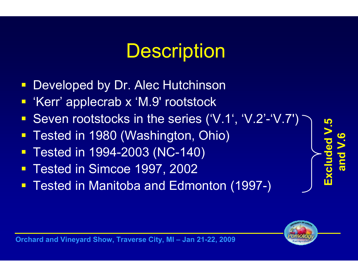## **Description**

- Developed by Dr. Alec Hutchinson
- 'Kerr' applecrab x 'M.9' rootstock
- $\Box$ Seven rootstocks in the series ('V.1', 'V.2'-'V.7')
- $\Box$ Tested in 1980 (Washington, Ohio)
- Tested in 1994-2003 (NC-140)
- Tested in Simcoe 1997, 2002
- **Tested in Manitoba and Edmonton (1997-)**  $\Box$



Excluded V.5

and V.6